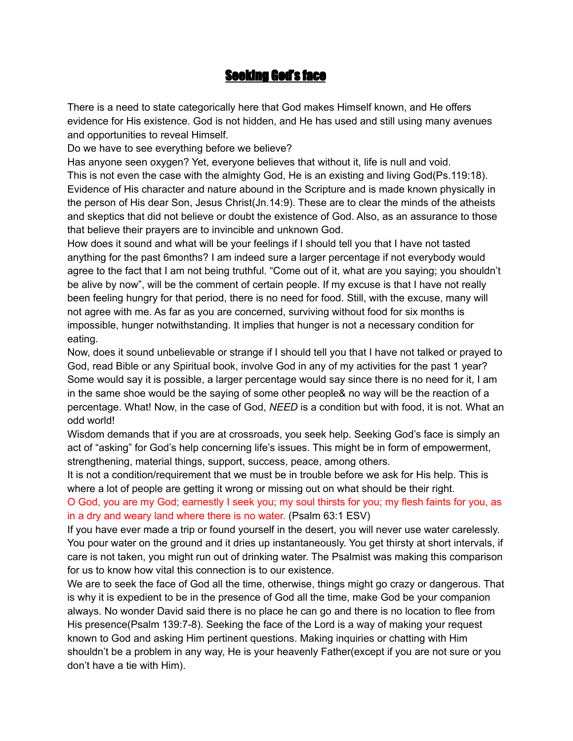# **Seeking God's face**

There is a need to state categorically here that God makes Himself known, and He offers evidence for His existence. God is not hidden, and He has used and still using many avenues and opportunities to reveal Himself.

Do we have to see everything before we believe?

Has anyone seen oxygen? Yet, everyone believes that without it, life is null and void. This is not even the case with the almighty God, He is an existing and living God(Ps.119:18). Evidence of His character and nature abound in the Scripture and is made known physically in the person of His dear Son, Jesus Christ(Jn.14:9). These are to clear the minds of the atheists and skeptics that did not believe or doubt the existence of God. Also, as an assurance to those that believe their prayers are to invincible and unknown God.

How does it sound and what will be your feelings if I should tell you that I have not tasted anything for the past 6months? I am indeed sure a larger percentage if not everybody would agree to the fact that I am not being truthful. "Come out of it, what are you saying; you shouldn't be alive by now", will be the comment of certain people. If my excuse is that I have not really been feeling hungry for that period, there is no need for food. Still, with the excuse, many will not agree with me. As far as you are concerned, surviving without food for six months is impossible, hunger notwithstanding. It implies that hunger is not a necessary condition for eating.

Now, does it sound unbelievable or strange if I should tell you that I have not talked or prayed to God, read Bible or any Spiritual book, involve God in any of my activities for the past 1 year? Some would say it is possible, a larger percentage would say since there is no need for it, I am in the same shoe would be the saying of some other people& no way will be the reaction of a percentage. What! Now, in the case of God, *NEED* is a condition but with food, it is not. What an odd world!

Wisdom demands that if you are at crossroads, you seek help. Seeking God's face is simply an act of "asking" for God's help concerning life's issues. This might be in form of empowerment, strengthening, material things, support, success, peace, among others.

It is not a condition/requirement that we must be in trouble before we ask for His help. This is where a lot of people are getting it wrong or missing out on what should be their right.

O God, you are my God; earnestly I seek you; my soul thirsts for you; my flesh faints for you, as in a dry and weary land where there is no water. (Psalm 63:1 ESV)

If you have ever made a trip or found yourself in the desert, you will never use water carelessly. You pour water on the ground and it dries up instantaneously. You get thirsty at short intervals, if care is not taken, you might run out of drinking water. The Psalmist was making this comparison for us to know how vital this connection is to our existence.

We are to seek the face of God all the time, otherwise, things might go crazy or dangerous. That is why it is expedient to be in the presence of God all the time, make God be your companion always. No wonder David said there is no place he can go and there is no location to flee from His presence(Psalm 139:7-8). Seeking the face of the Lord is a way of making your request known to God and asking Him pertinent questions. Making inquiries or chatting with Him shouldn't be a problem in any way, He is your heavenly Father(except if you are not sure or you don't have a tie with Him).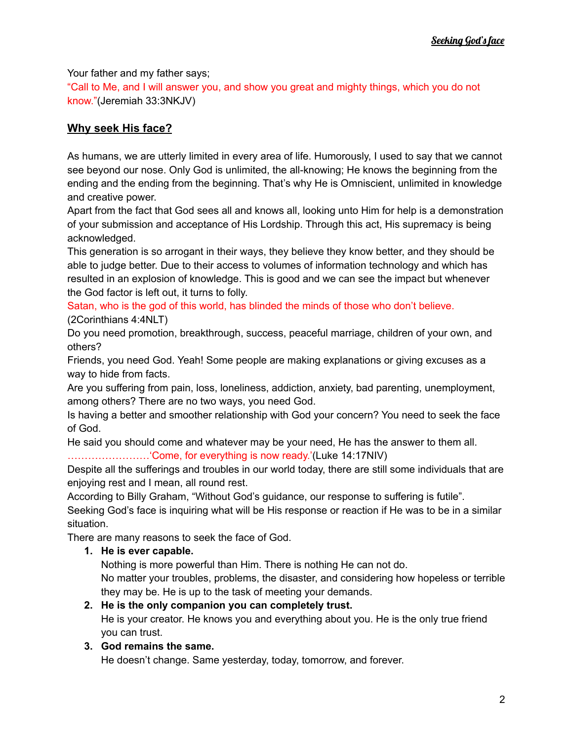Your father and my father says;

"Call to Me, and I will answer you, and show you great and mighty things, which you do not know."(Jeremiah 33:3NKJV)

## **Why seek His face?**

As humans, we are utterly limited in every area of life. Humorously, I used to say that we cannot see beyond our nose. Only God is unlimited, the all-knowing; He knows the beginning from the ending and the ending from the beginning. That's why He is Omniscient, unlimited in knowledge and creative power.

Apart from the fact that God sees all and knows all, looking unto Him for help is a demonstration of your submission and acceptance of His Lordship. Through this act, His supremacy is being acknowledged.

This generation is so arrogant in their ways, they believe they know better, and they should be able to judge better. Due to their access to volumes of information technology and which has resulted in an explosion of knowledge. This is good and we can see the impact but whenever the God factor is left out, it turns to folly.

Satan, who is the god of this world, has blinded the minds of those who don't believe. (2Corinthians 4:4NLT)

Do you need promotion, breakthrough, success, peaceful marriage, children of your own, and others?

Friends, you need God. Yeah! Some people are making explanations or giving excuses as a way to hide from facts.

Are you suffering from pain, loss, loneliness, addiction, anxiety, bad parenting, unemployment, among others? There are no two ways, you need God.

Is having a better and smoother relationship with God your concern? You need to seek the face of God.

He said you should come and whatever may be your need, He has the answer to them all. ……………………'Come, for everything is now ready.'(Luke 14:17NIV)

Despite all the sufferings and troubles in our world today, there are still some individuals that are enjoying rest and I mean, all round rest.

According to Billy Graham, "Without God's guidance, our response to suffering is futile".

Seeking God's face is inquiring what will be His response or reaction if He was to be in a similar situation.

There are many reasons to seek the face of God.

## **1. He is ever capable.**

Nothing is more powerful than Him. There is nothing He can not do.

No matter your troubles, problems, the disaster, and considering how hopeless or terrible they may be. He is up to the task of meeting your demands.

#### **2. He is the only companion you can completely trust.**

He is your creator. He knows you and everything about you. He is the only true friend you can trust.

#### **3. God remains the same.**

He doesn't change. Same yesterday, today, tomorrow, and forever.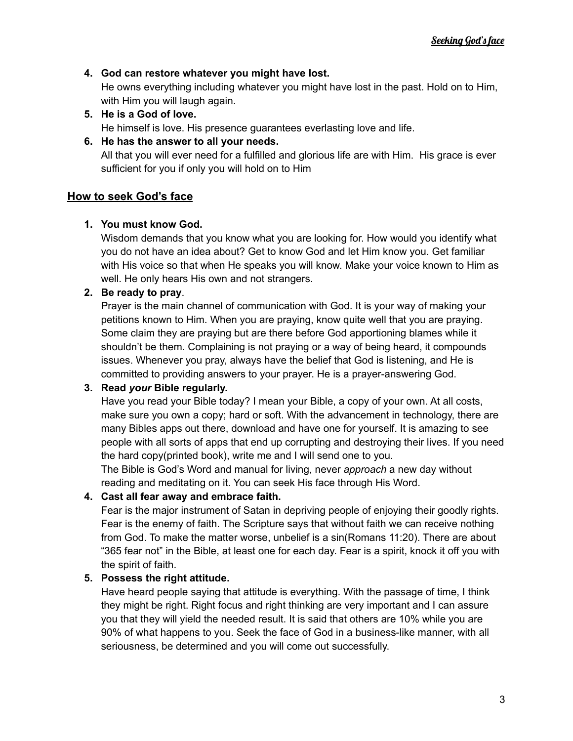#### **4. God can restore whatever you might have lost.**

He owns everything including whatever you might have lost in the past. Hold on to Him, with Him you will laugh again.

**5. He is a God of love.** He himself is love. His presence guarantees everlasting love and life.

#### **6. He has the answer to all your needs.**

All that you will ever need for a fulfilled and glorious life are with Him. His grace is ever sufficient for you if only you will hold on to Him

## **How to seek God's face**

## **1. You must know God.**

Wisdom demands that you know what you are looking for. How would you identify what you do not have an idea about? Get to know God and let Him know you. Get familiar with His voice so that when He speaks you will know. Make your voice known to Him as well. He only hears His own and not strangers.

#### **2. Be ready to pray**.

Prayer is the main channel of communication with God. It is your way of making your petitions known to Him. When you are praying, know quite well that you are praying. Some claim they are praying but are there before God apportioning blames while it shouldn't be them. Complaining is not praying or a way of being heard, it compounds issues. Whenever you pray, always have the belief that God is listening, and He is committed to providing answers to your prayer. He is a prayer-answering God.

## **3. Read** *your* **Bible regularly.**

Have you read your Bible today? I mean your Bible, a copy of your own. At all costs, make sure you own a copy; hard or soft. With the advancement in technology, there are many Bibles apps out there, download and have one for yourself. It is amazing to see people with all sorts of apps that end up corrupting and destroying their lives. If you need the hard copy(printed book), write me and I will send one to you.

The Bible is God's Word and manual for living, never *approach* a new day without reading and meditating on it. You can seek His face through His Word.

## **4. Cast all fear away and embrace faith.**

Fear is the major instrument of Satan in depriving people of enjoying their goodly rights. Fear is the enemy of faith. The Scripture says that without faith we can receive nothing from God. To make the matter worse, unbelief is a sin(Romans 11:20). There are about "365 fear not" in the Bible, at least one for each day. Fear is a spirit, knock it off you with the spirit of faith.

## **5. Possess the right attitude.**

Have heard people saying that attitude is everything. With the passage of time, I think they might be right. Right focus and right thinking are very important and I can assure you that they will yield the needed result. It is said that others are 10% while you are 90% of what happens to you. Seek the face of God in a business-like manner, with all seriousness, be determined and you will come out successfully.